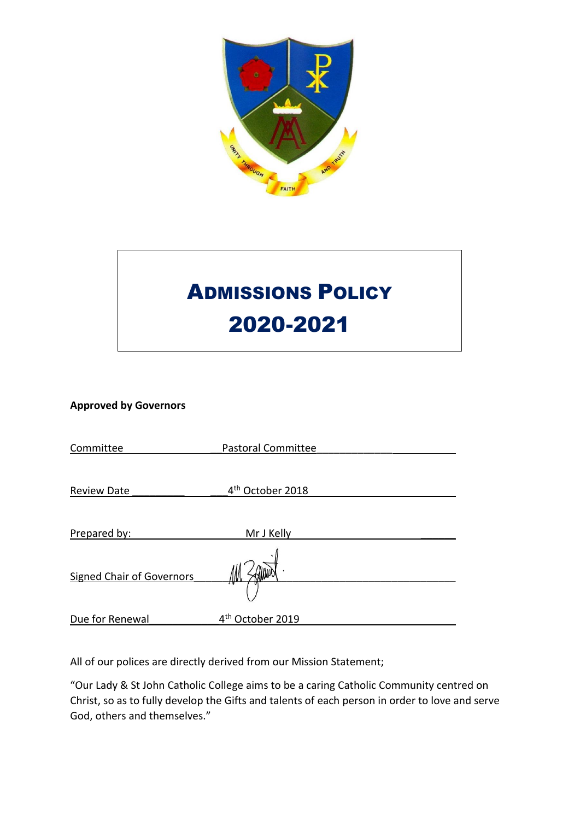

# ADMISSIONS POLICY 2020-2021

# **Approved by Governors**

| Committee                        | <b>Pastoral Committee</b>    |  |
|----------------------------------|------------------------------|--|
|                                  |                              |  |
| <b>Review Date</b>               | 4 <sup>th</sup> October 2018 |  |
|                                  |                              |  |
| Prepared by:                     | Mr J Kelly                   |  |
|                                  |                              |  |
| <b>Signed Chair of Governors</b> |                              |  |
|                                  |                              |  |
| Due for Renewal                  | 4 <sup>th</sup> October 2019 |  |

All of our polices are directly derived from our Mission Statement;

"Our Lady & St John Catholic College aims to be a caring Catholic Community centred on Christ, so as to fully develop the Gifts and talents of each person in order to love and serve God, others and themselves."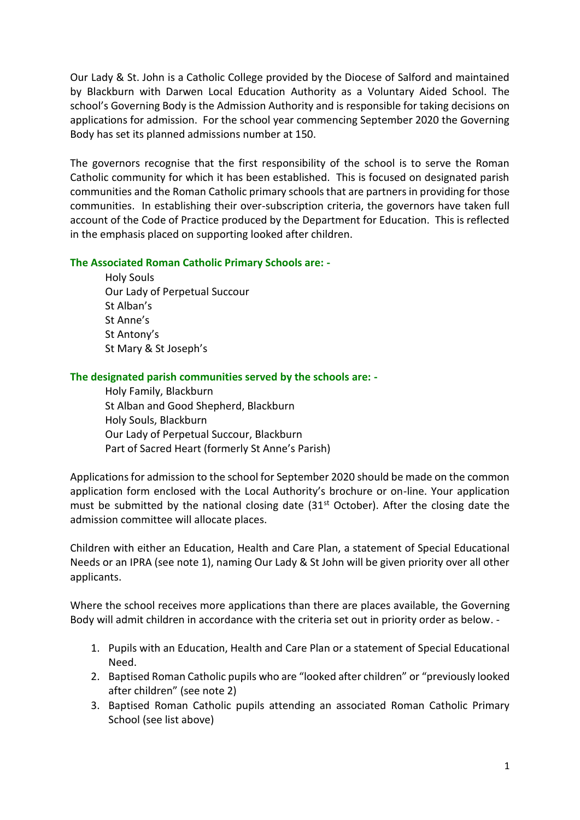Our Lady & St. John is a Catholic College provided by the Diocese of Salford and maintained by Blackburn with Darwen Local Education Authority as a Voluntary Aided School. The school's Governing Body is the Admission Authority and is responsible for taking decisions on applications for admission. For the school year commencing September 2020 the Governing Body has set its planned admissions number at 150.

The governors recognise that the first responsibility of the school is to serve the Roman Catholic community for which it has been established. This is focused on designated parish communities and the Roman Catholic primary schools that are partners in providing for those communities. In establishing their over-subscription criteria, the governors have taken full account of the Code of Practice produced by the Department for Education. This is reflected in the emphasis placed on supporting looked after children.

## **The Associated Roman Catholic Primary Schools are: -**

Holy Souls Our Lady of Perpetual Succour St Alban's St Anne's St Antony's St Mary & St Joseph's

## **The designated parish communities served by the schools are: -**

Holy Family, Blackburn St Alban and Good Shepherd, Blackburn Holy Souls, Blackburn Our Lady of Perpetual Succour, Blackburn Part of Sacred Heart (formerly St Anne's Parish)

Applications for admission to the school for September 2020 should be made on the common application form enclosed with the Local Authority's brochure or on-line. Your application must be submitted by the national closing date  $(31<sup>st</sup> October)$ . After the closing date the admission committee will allocate places.

Children with either an Education, Health and Care Plan, a statement of Special Educational Needs or an IPRA (see note 1), naming Our Lady & St John will be given priority over all other applicants.

Where the school receives more applications than there are places available, the Governing Body will admit children in accordance with the criteria set out in priority order as below. -

- 1. Pupils with an Education, Health and Care Plan or a statement of Special Educational Need.
- 2. Baptised Roman Catholic pupils who are "looked after children" or "previously looked after children" (see note 2)
- 3. Baptised Roman Catholic pupils attending an associated Roman Catholic Primary School (see list above)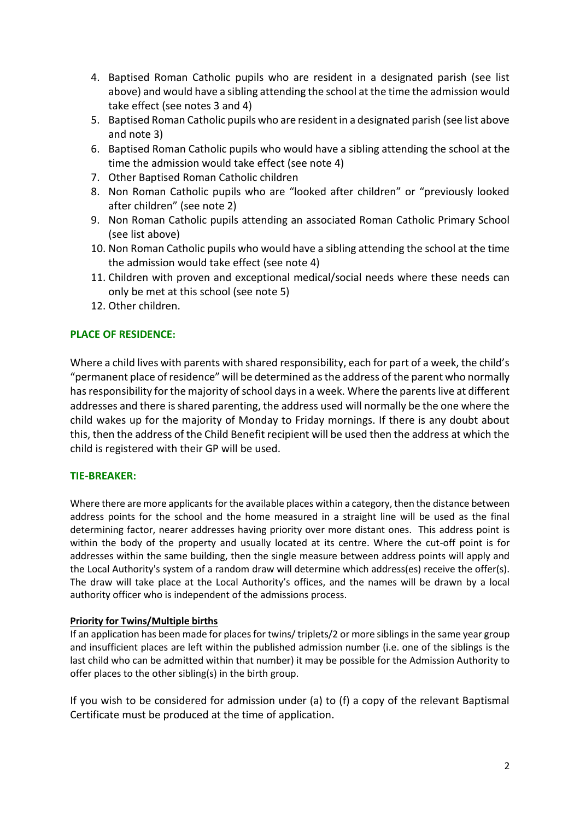- 4. Baptised Roman Catholic pupils who are resident in a designated parish (see list above) and would have a sibling attending the school at the time the admission would take effect (see notes 3 and 4)
- 5. Baptised Roman Catholic pupils who are resident in a designated parish (see list above and note 3)
- 6. Baptised Roman Catholic pupils who would have a sibling attending the school at the time the admission would take effect (see note 4)
- 7. Other Baptised Roman Catholic children
- 8. Non Roman Catholic pupils who are "looked after children" or "previously looked after children" (see note 2)
- 9. Non Roman Catholic pupils attending an associated Roman Catholic Primary School (see list above)
- 10. Non Roman Catholic pupils who would have a sibling attending the school at the time the admission would take effect (see note 4)
- 11. Children with proven and exceptional medical/social needs where these needs can only be met at this school (see note 5)
- 12. Other children.

# **PLACE OF RESIDENCE:**

Where a child lives with parents with shared responsibility, each for part of a week, the child's "permanent place of residence" will be determined as the address of the parent who normally has responsibility for the majority of school days in a week. Where the parents live at different addresses and there is shared parenting, the address used will normally be the one where the child wakes up for the majority of Monday to Friday mornings. If there is any doubt about this, then the address of the Child Benefit recipient will be used then the address at which the child is registered with their GP will be used.

## **TIE-BREAKER:**

Where there are more applicants for the available places within a category, then the distance between address points for the school and the home measured in a straight line will be used as the final determining factor, nearer addresses having priority over more distant ones. This address point is within the body of the property and usually located at its centre. Where the cut-off point is for addresses within the same building, then the single measure between address points will apply and the Local Authority's system of a random draw will determine which address(es) receive the offer(s). The draw will take place at the Local Authority's offices, and the names will be drawn by a local authority officer who is independent of the admissions process.

### **Priority for Twins/Multiple births**

If an application has been made for places for twins/ triplets/2 or more siblings in the same year group and insufficient places are left within the published admission number (i.e. one of the siblings is the last child who can be admitted within that number) it may be possible for the Admission Authority to offer places to the other sibling(s) in the birth group.

If you wish to be considered for admission under (a) to (f) a copy of the relevant Baptismal Certificate must be produced at the time of application.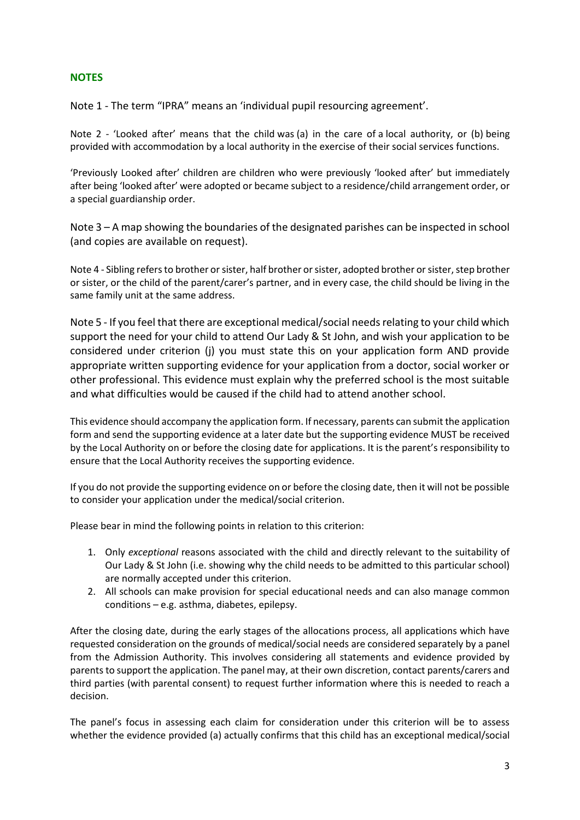# **NOTES**

Note 1 - The term "IPRA" means an 'individual pupil resourcing agreement'.

Note 2 - 'Looked after' means that the child was (a) in the care of a local authority, or (b) being provided with accommodation by a local authority in the exercise of their social services functions.

'Previously Looked after' children are children who were previously 'looked after' but immediately after being 'looked after' were adopted or became subject to a residence/child arrangement order, or a special guardianship order.

Note 3 – A map showing the boundaries of the designated parishes can be inspected in school (and copies are available on request).

Note 4 - Sibling refers to brother or sister, half brother or sister, adopted brother or sister, step brother or sister, or the child of the parent/carer's partner, and in every case, the child should be living in the same family unit at the same address.

Note 5 - If you feel that there are exceptional medical/social needs relating to your child which support the need for your child to attend Our Lady & St John, and wish your application to be considered under criterion (j) you must state this on your application form AND provide appropriate written supporting evidence for your application from a doctor, social worker or other professional. This evidence must explain why the preferred school is the most suitable and what difficulties would be caused if the child had to attend another school.

This evidence should accompany the application form. If necessary, parents can submit the application form and send the supporting evidence at a later date but the supporting evidence MUST be received by the Local Authority on or before the closing date for applications. It is the parent's responsibility to ensure that the Local Authority receives the supporting evidence.

If you do not provide the supporting evidence on or before the closing date, then it will not be possible to consider your application under the medical/social criterion.

Please bear in mind the following points in relation to this criterion:

- 1. Only *exceptional* reasons associated with the child and directly relevant to the suitability of Our Lady & St John (i.e. showing why the child needs to be admitted to this particular school) are normally accepted under this criterion.
- 2. All schools can make provision for special educational needs and can also manage common conditions – e.g. asthma, diabetes, epilepsy.

After the closing date, during the early stages of the allocations process, all applications which have requested consideration on the grounds of medical/social needs are considered separately by a panel from the Admission Authority. This involves considering all statements and evidence provided by parents to support the application. The panel may, at their own discretion, contact parents/carers and third parties (with parental consent) to request further information where this is needed to reach a decision.

The panel's focus in assessing each claim for consideration under this criterion will be to assess whether the evidence provided (a) actually confirms that this child has an exceptional medical/social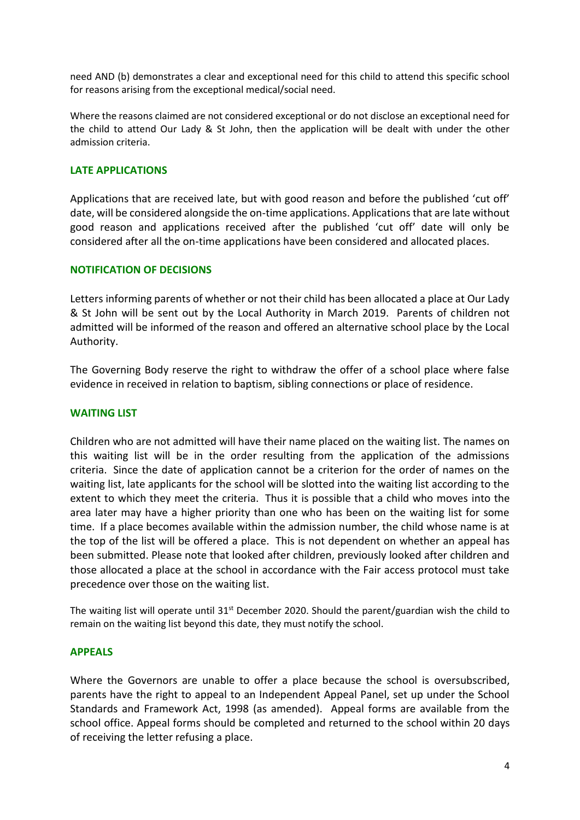need AND (b) demonstrates a clear and exceptional need for this child to attend this specific school for reasons arising from the exceptional medical/social need.

Where the reasons claimed are not considered exceptional or do not disclose an exceptional need for the child to attend Our Lady & St John, then the application will be dealt with under the other admission criteria.

## **LATE APPLICATIONS**

Applications that are received late, but with good reason and before the published 'cut off' date, will be considered alongside the on-time applications. Applications that are late without good reason and applications received after the published 'cut off' date will only be considered after all the on-time applications have been considered and allocated places.

### **NOTIFICATION OF DECISIONS**

Letters informing parents of whether or not their child has been allocated a place at Our Lady & St John will be sent out by the Local Authority in March 2019. Parents of children not admitted will be informed of the reason and offered an alternative school place by the Local Authority.

The Governing Body reserve the right to withdraw the offer of a school place where false evidence in received in relation to baptism, sibling connections or place of residence.

## **WAITING LIST**

Children who are not admitted will have their name placed on the waiting list. The names on this waiting list will be in the order resulting from the application of the admissions criteria. Since the date of application cannot be a criterion for the order of names on the waiting list, late applicants for the school will be slotted into the waiting list according to the extent to which they meet the criteria. Thus it is possible that a child who moves into the area later may have a higher priority than one who has been on the waiting list for some time. If a place becomes available within the admission number, the child whose name is at the top of the list will be offered a place. This is not dependent on whether an appeal has been submitted. Please note that looked after children, previously looked after children and those allocated a place at the school in accordance with the Fair access protocol must take precedence over those on the waiting list.

The waiting list will operate until  $31^{st}$  December 2020. Should the parent/guardian wish the child to remain on the waiting list beyond this date, they must notify the school.

### **APPEALS**

Where the Governors are unable to offer a place because the school is oversubscribed, parents have the right to appeal to an Independent Appeal Panel, set up under the School Standards and Framework Act, 1998 (as amended). Appeal forms are available from the school office. Appeal forms should be completed and returned to the school within 20 days of receiving the letter refusing a place.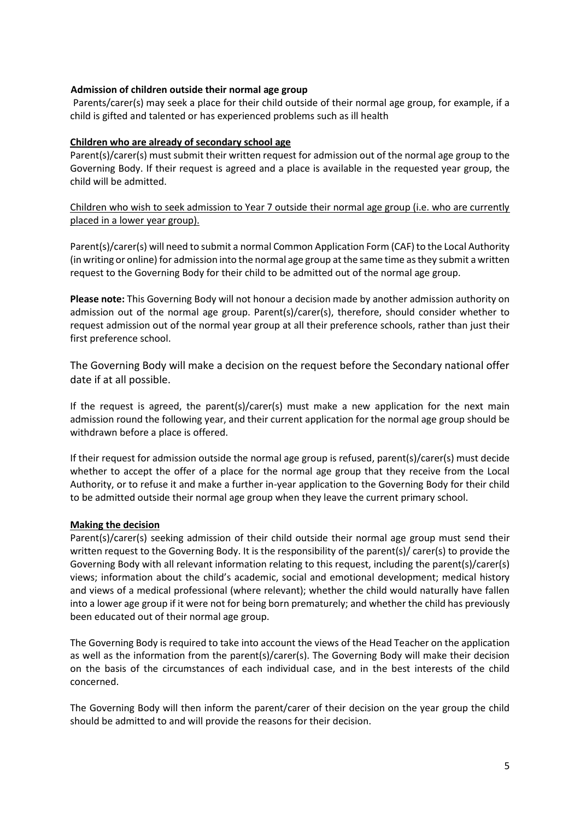## **Admission of children outside their normal age group**

Parents/carer(s) may seek a place for their child outside of their normal age group, for example, if a child is gifted and talented or has experienced problems such as ill health

### **Children who are already of secondary school age**

Parent(s)/carer(s) must submit their written request for admission out of the normal age group to the Governing Body. If their request is agreed and a place is available in the requested year group, the child will be admitted.

Children who wish to seek admission to Year 7 outside their normal age group (i.e. who are currently placed in a lower year group).

Parent(s)/carer(s) will need to submit a normal Common Application Form (CAF) to the Local Authority (in writing or online) for admission into the normal age group at the same time as they submit a written request to the Governing Body for their child to be admitted out of the normal age group.

**Please note:** This Governing Body will not honour a decision made by another admission authority on admission out of the normal age group. Parent(s)/carer(s), therefore, should consider whether to request admission out of the normal year group at all their preference schools, rather than just their first preference school.

The Governing Body will make a decision on the request before the Secondary national offer date if at all possible.

If the request is agreed, the parent(s)/carer(s) must make a new application for the next main admission round the following year, and their current application for the normal age group should be withdrawn before a place is offered.

If their request for admission outside the normal age group is refused, parent(s)/carer(s) must decide whether to accept the offer of a place for the normal age group that they receive from the Local Authority, or to refuse it and make a further in-year application to the Governing Body for their child to be admitted outside their normal age group when they leave the current primary school.

### **Making the decision**

Parent(s)/carer(s) seeking admission of their child outside their normal age group must send their written request to the Governing Body. It is the responsibility of the parent(s)/ carer(s) to provide the Governing Body with all relevant information relating to this request, including the parent(s)/carer(s) views; information about the child's academic, social and emotional development; medical history and views of a medical professional (where relevant); whether the child would naturally have fallen into a lower age group if it were not for being born prematurely; and whether the child has previously been educated out of their normal age group.

The Governing Body is required to take into account the views of the Head Teacher on the application as well as the information from the parent(s)/carer(s). The Governing Body will make their decision on the basis of the circumstances of each individual case, and in the best interests of the child concerned.

The Governing Body will then inform the parent/carer of their decision on the year group the child should be admitted to and will provide the reasons for their decision.